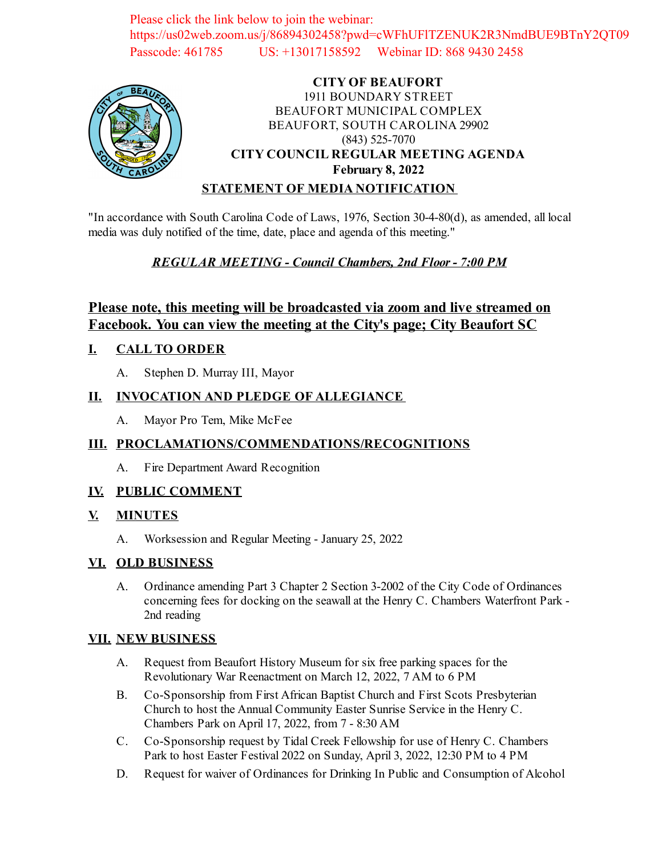Please click the link below to join the webinar: https://us02web.zoom.us/j/86894302458?pwd=cWFhUFlTZENUK2R3NmdBUE9BTnY2QT09 Passcode: 461785 US: +13017158592 Webinar ID: 868 9430 2458



# **CITY OF BEAUFORT** 1911 BOUNDARY STREET BEAUFORT MUNICIPAL COMPLEX BEAUFORT, SOUTH CAROLINA 29902 (843) 525-7070 **CITY COUNCIL REGULAR MEETING AGENDA February 8, 2022**

## **STATEMENT OF MEDIA NOTIFICATION**

"In accordance with South Carolina Code of Laws, 1976, Section 30-4-80(d), as amended, all local media was duly notified of the time, date, place and agenda of this meeting."

# *REGULAR MEETING - Council Chambers, 2nd Floor - 7:00 PM*

# **Please note, this meeting will be broadcasted via zoom and live streamed on Facebook. You can view the meeting at the City's page; City Beaufort SC**

## **I. CALL TO ORDER**

A. Stephen D. Murray III, Mayor

## **II. INVOCATION AND PLEDGE OF ALLEGIANCE**

A. Mayor Pro Tem, Mike McFee

## **III. PROCLAMATIONS/COMMENDATIONS/RECOGNITIONS**

A. Fire Department Award Recognition

## **IV. PUBLIC COMMENT**

## **V. MINUTES**

A. Worksession and Regular Meeting - January 25, 2022

## **VI. OLD BUSINESS**

A. Ordinance amending Part 3 Chapter 2 Section 3-2002 of the City Code of Ordinances [concerning fees for docking on the seawall at the Henry C. Chambers Waterfront Park -](file:///C:/Windows/TEMP/CoverSheet.aspx?ItemID=2403&MeetingID=347) 2nd reading

#### **VII. NEW BUSINESS**

- A. [Request from Beaufort History Museum for six free parking spaces for the](file:///C:/Windows/TEMP/CoverSheet.aspx?ItemID=2411&MeetingID=347) Revolutionary War Reenactment on March 12, 2022, 7 AM to 6 PM
- B. [Co-Sponsorship from First African Baptist Church and First Scots Presbyterian](file:///C:/Windows/TEMP/CoverSheet.aspx?ItemID=2412&MeetingID=347) Church to host the Annual Community Easter Sunrise Service in the Henry C. Chambers Park on April 17, 2022, from 7 - 8:30 AM
- C. [Co-Sponsorship request by Tidal Creek Fellowship for use of Henry C. Chambers](file:///C:/Windows/TEMP/CoverSheet.aspx?ItemID=2413&MeetingID=347) Park to host Easter Festival 2022 on Sunday, April 3, 2022, 12:30 PM to 4 PM
- D. Request for waiver of Ordinances for Drinking In Public and Consumption of Alcohol